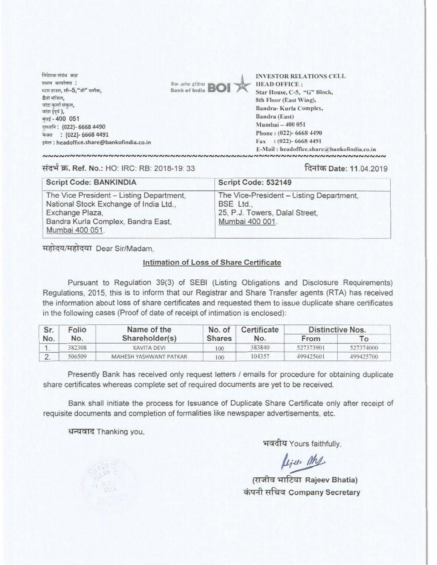A(IN **MAT am, rota wratFra :** स्टार डाउस, सी-5, "जी" क्लॉक, **8**यी मंजिल,<br>बांद्रा कर्ला संकल, बांडा (पर्व ), मंबई - 400 051 शस्त्रनि: (022)- 6668 4490 **iicatt : (022)- 6668 4491 van: headoffice.share@bankofindia.coin** 



**INVESTOR RELATIONS** CELl. **HEAD OFFICE:**  Star House, C-5. "G" Block, **8th Floor (East Wing),**  Bandra- Kurla Complex. **Bandra (East) NIumhai — 400 051 Phone : (022)- 6668 4490 Fax : (022)- 6668 4491 E: Mail : licadofficc.share Otankofindia.coin**

W. Ref. No.: HO: IRC: RB: 2018-19: 33 -F4RTW Date: 11.04.2019

| <b>Script Code: BANKINDIA</b>                                                                                                                                  | Script Code: 532149                                                                                        |  |  |
|----------------------------------------------------------------------------------------------------------------------------------------------------------------|------------------------------------------------------------------------------------------------------------|--|--|
| The Vice President - Listing Department,<br>National Stock Exchange of India Ltd.,<br>Exchange Plaza,<br>Bandra Kurla Complex, Bandra East,<br>Mumbai 400 051. | The Vice-President - Listing Department,<br>BSE Ltd.,<br>25, P.J. Towers, Dalal Street.<br>Mumbai 400 001. |  |  |

महोदय/महोदया Dear Sir/Madam.

## Intimation of Loss of Share Certificate

Pursuant to Regulation 39(3) of SEBI (Listing Obligations and Disclosure Requirements) Regulations, 2015, this is to inform that our **Registrar and Share** Transfer agents **(RTA)** has received the information about loss of share certificates and requested them to issue duplicate share certificates in the following cases (Proof of date of receipt of intimation is enclosed):

| Sr.<br>No. | Folio  | Name of the<br>Shareholder(s) | No. of<br><b>Shares</b> | Certificate<br>No. | Distinctive Nos. |           |
|------------|--------|-------------------------------|-------------------------|--------------------|------------------|-----------|
|            | No.    |                               |                         |                    | From             | To.       |
|            | 382308 | KAVITA DEVI                   | 100                     | 383840             | 527373901        | 527374000 |
| $\sim$     | 506509 | MAHESH YASHWANT PATKAR        | 100                     | 104357             | 499425601        | 499425700 |

Presently Bank has received only request letters / emails for procedure for obtaining duplicate share certificates whereas complete set of required documents are yet to be received.

Bank shall initiate the process for Issuance of Duplicate Share Certificate only after receipt of requisite documents and completion of formalities like newspaper advertisements, etc.

धन्यवाद Thanking you,

भवदीय Yours faithfully,

*Lift ML*<br>(राजीव भाटिया Rajeev Bhatia) कंपनी सचिव Company Secretary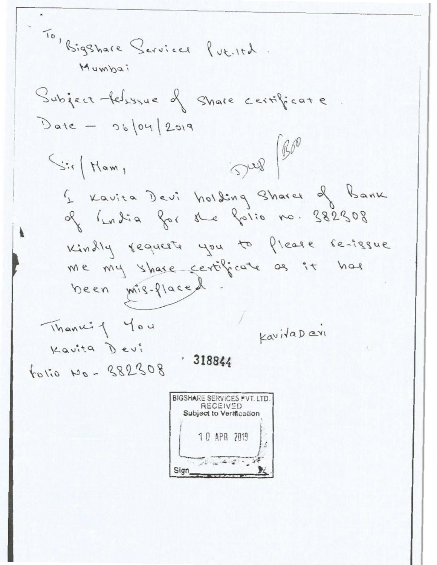To, Bigshare Servicer fut. Itd. Mumbai Subject felsssue of share certificate.  $Date - 96/04/2019$  $S^{\alpha\beta}$  (Boo Sir Ham, I Kavita Devi holding Shares of Bank of India for the folio no. 382308 Kindly requests you to flease re-issue me my share certificate as it has been mis-flaced Thanki<sup>4</sup> You KavitaDavi Kavita Devi  $.318844$ tolio No - 382308 **BIGSHARE SERVICES FVT. LTD. RECEIVED**